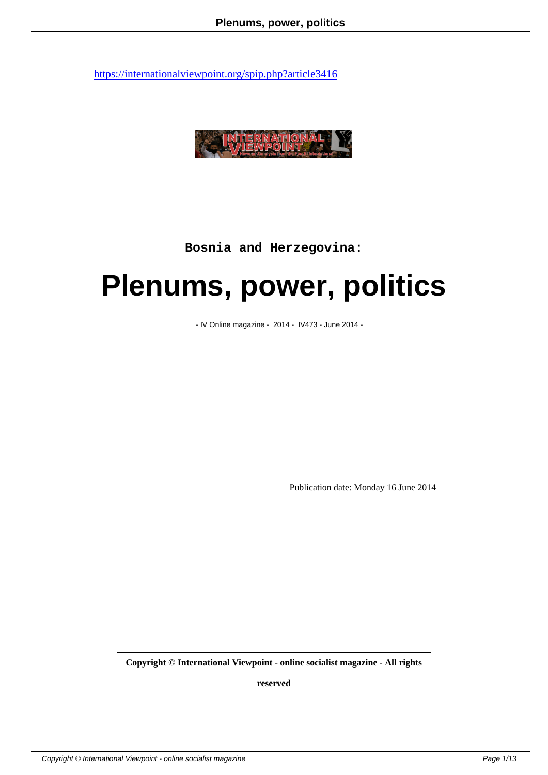

**Bosnia and Herzegovina:**

# **Plenums, power, politics**

- IV Online magazine - 2014 - IV473 - June 2014 -

Publication date: Monday 16 June 2014

**Copyright © International Viewpoint - online socialist magazine - All rights**

**reserved**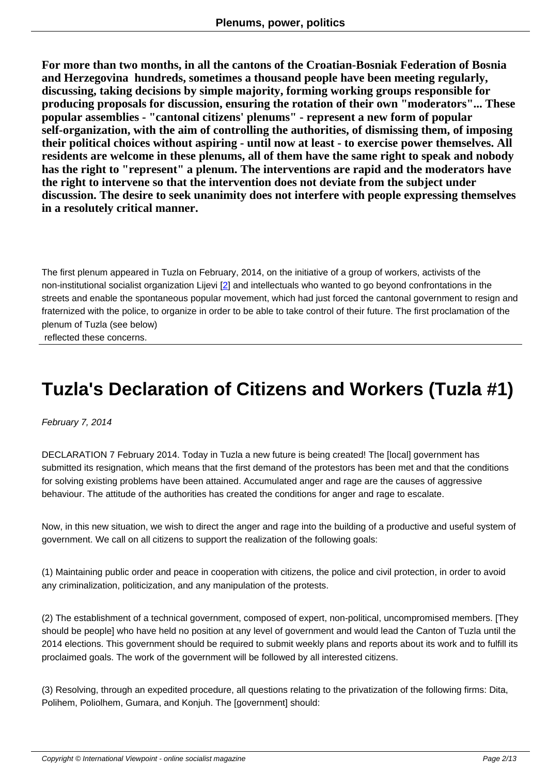**For more than two months, in all the cantons of the Croatian-Bosniak Federation of Bosnia and Herzegovina hundreds, sometimes a thousand people have been meeting regularly, discussing, taking decisions by simple majority, forming working groups responsible for producing proposals for discussion, ensuring the rotation of their own "moderators"... These popular assemblies - "cantonal citizens' plenums" - represent a new form of popular self-organization, with the aim of controlling the authorities, of dismissing them, of imposing their political choices without aspiring - until now at least - to exercise power themselves. All residents are welcome in these plenums, all of them have the same right to speak and nobody has the right to "represent" a plenum. The interventions are rapid and the moderators have the right to intervene so that the intervention does not deviate from the subject under discussion. The desire to seek unanimity does not interfere with people expressing themselves in a resolutely critical manner.**

The first plenum appeared in Tuzla on February, 2014, on the initiative of a group of workers, activists of the non-institutional socialist organization Lijevi [2] and intellectuals who wanted to go beyond confrontations in the streets and enable the spontaneous popular movement, which had just forced the cantonal government to resign and fraternized with the police, to organize in order to be able to take control of their future. The first proclamation of the plenum of Tuzla (see below)

reflected these concerns.

## **Tuzla's Declaration of Citizens and Workers (Tuzla #1)**

February 7, 2014

DECLARATION 7 February 2014. Today in Tuzla a new future is being created! The [local] government has submitted its resignation, which means that the first demand of the protestors has been met and that the conditions for solving existing problems have been attained. Accumulated anger and rage are the causes of aggressive behaviour. The attitude of the authorities has created the conditions for anger and rage to escalate.

Now, in this new situation, we wish to direct the anger and rage into the building of a productive and useful system of government. We call on all citizens to support the realization of the following goals:

(1) Maintaining public order and peace in cooperation with citizens, the police and civil protection, in order to avoid any criminalization, politicization, and any manipulation of the protests.

(2) The establishment of a technical government, composed of expert, non-political, uncompromised members. [They should be people] who have held no position at any level of government and would lead the Canton of Tuzla until the 2014 elections. This government should be required to submit weekly plans and reports about its work and to fulfill its proclaimed goals. The work of the government will be followed by all interested citizens.

(3) Resolving, through an expedited procedure, all questions relating to the privatization of the following firms: Dita, Polihem, Poliolhem, Gumara, and Konjuh. The [government] should: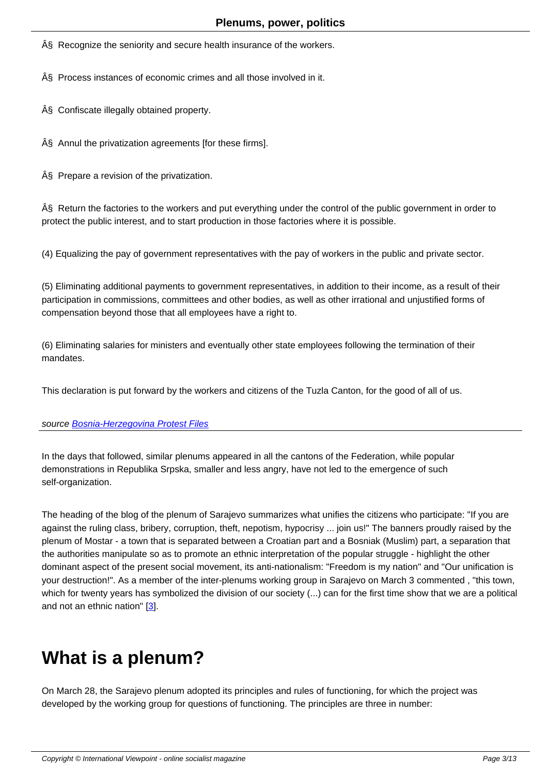§ Recognize the seniority and secure health insurance of the workers.

§ Process instances of economic crimes and all those involved in it.

§ Confiscate illegally obtained property.

§ Annul the privatization agreements [for these firms].

§ Prepare a revision of the privatization.

§ Return the factories to the workers and put everything under the control of the public government in order to protect the public interest, and to start production in those factories where it is possible.

(4) Equalizing the pay of government representatives with the pay of workers in the public and private sector.

(5) Eliminating additional payments to government representatives, in addition to their income, as a result of their participation in commissions, committees and other bodies, as well as other irrational and unjustified forms of compensation beyond those that all employees have a right to.

(6) Eliminating salaries for ministers and eventually other state employees following the termination of their mandates.

This declaration is put forward by the workers and citizens of the Tuzla Canton, for the good of all of us.

source Bosnia-Herzegovina Protest Files

In the days that followed, similar plenums appeared in all the cantons of the Federation, while popular demon[strations in Republika Srpska, sma](http://bhprotestfiles.wordpress.com/2014/02/07/declaration-of-citizens-and-workers-in-tuzla-1/)ller and less angry, have not led to the emergence of such self-organization.

The heading of the blog of the plenum of Sarajevo summarizes what unifies the citizens who participate: "If you are against the ruling class, bribery, corruption, theft, nepotism, hypocrisy ... join us!" The banners proudly raised by the plenum of Mostar - a town that is separated between a Croatian part and a Bosniak (Muslim) part, a separation that the authorities manipulate so as to promote an ethnic interpretation of the popular struggle - highlight the other dominant aspect of the present social movement, its anti-nationalism: "Freedom is my nation" and "Our unification is your destruction!". As a member of the inter-plenums working group in Sarajevo on March 3 commented , "this town, which for twenty years has symbolized the division of our society (...) can for the first time show that we are a political and not an ethnic nation" [3].

# **What is a pl[e](#nb3)num?**

On March 28, the Sarajevo plenum adopted its principles and rules of functioning, for which the project was developed by the working group for questions of functioning. The principles are three in number: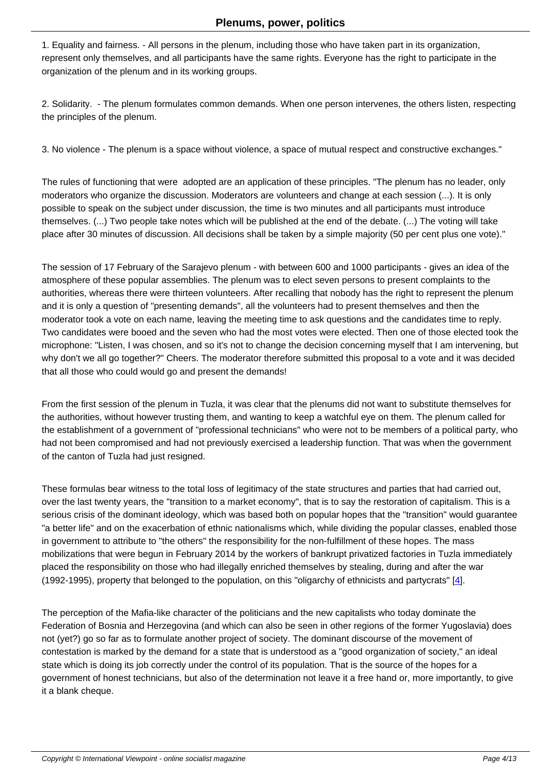1. Equality and fairness. - All persons in the plenum, including those who have taken part in its organization, represent only themselves, and all participants have the same rights. Everyone has the right to participate in the organization of the plenum and in its working groups.

2. Solidarity. - The plenum formulates common demands. When one person intervenes, the others listen, respecting the principles of the plenum.

3. No violence - The plenum is a space without violence, a space of mutual respect and constructive exchanges."

The rules of functioning that were adopted are an application of these principles. "The plenum has no leader, only moderators who organize the discussion. Moderators are volunteers and change at each session (...). It is only possible to speak on the subject under discussion, the time is two minutes and all participants must introduce themselves. (...) Two people take notes which will be published at the end of the debate. (...) The voting will take place after 30 minutes of discussion. All decisions shall be taken by a simple majority (50 per cent plus one vote)."

The session of 17 February of the Sarajevo plenum - with between 600 and 1000 participants - gives an idea of the atmosphere of these popular assemblies. The plenum was to elect seven persons to present complaints to the authorities, whereas there were thirteen volunteers. After recalling that nobody has the right to represent the plenum and it is only a question of "presenting demands", all the volunteers had to present themselves and then the moderator took a vote on each name, leaving the meeting time to ask questions and the candidates time to reply. Two candidates were booed and the seven who had the most votes were elected. Then one of those elected took the microphone: "Listen, I was chosen, and so it's not to change the decision concerning myself that I am intervening, but why don't we all go together?" Cheers. The moderator therefore submitted this proposal to a vote and it was decided that all those who could would go and present the demands!

From the first session of the plenum in Tuzla, it was clear that the plenums did not want to substitute themselves for the authorities, without however trusting them, and wanting to keep a watchful eye on them. The plenum called for the establishment of a government of "professional technicians" who were not to be members of a political party, who had not been compromised and had not previously exercised a leadership function. That was when the government of the canton of Tuzla had just resigned.

These formulas bear witness to the total loss of legitimacy of the state structures and parties that had carried out, over the last twenty years, the "transition to a market economy", that is to say the restoration of capitalism. This is a serious crisis of the dominant ideology, which was based both on popular hopes that the "transition" would guarantee "a better life" and on the exacerbation of ethnic nationalisms which, while dividing the popular classes, enabled those in government to attribute to "the others" the responsibility for the non-fulfillment of these hopes. The mass mobilizations that were begun in February 2014 by the workers of bankrupt privatized factories in Tuzla immediately placed the responsibility on those who had illegally enriched themselves by stealing, during and after the war (1992-1995), property that belonged to the population, on this "oligarchy of ethnicists and partycrats"  $[4]$ .

The perception of the Mafia-like character of the politicians and the new capitalists who today dominate the Federation of Bosnia and Herzegovina (and which can also be seen in other regions of the former Yu[go](#nb4)slavia) does not (yet?) go so far as to formulate another project of society. The dominant discourse of the movement of contestation is marked by the demand for a state that is understood as a "good organization of society," an ideal state which is doing its job correctly under the control of its population. That is the source of the hopes for a government of honest technicians, but also of the determination not leave it a free hand or, more importantly, to give it a blank cheque.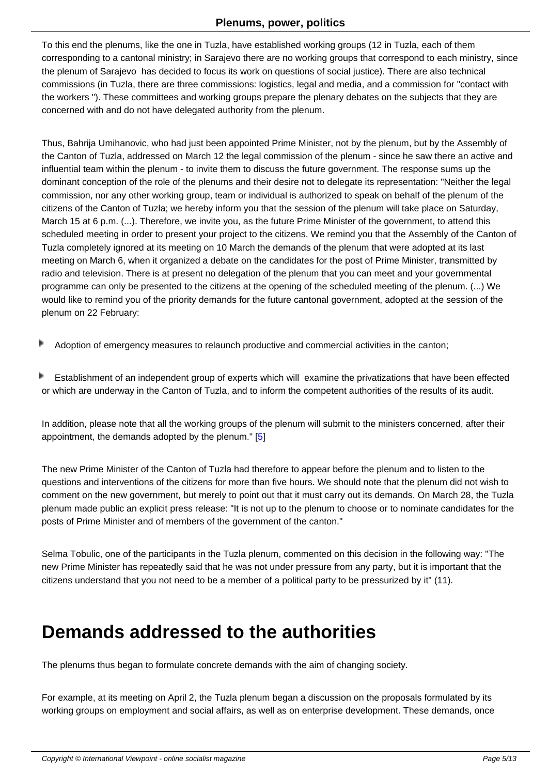To this end the plenums, like the one in Tuzla, have established working groups (12 in Tuzla, each of them corresponding to a cantonal ministry; in Sarajevo there are no working groups that correspond to each ministry, since the plenum of Sarajevo has decided to focus its work on questions of social justice). There are also technical commissions (in Tuzla, there are three commissions: logistics, legal and media, and a commission for "contact with the workers "). These committees and working groups prepare the plenary debates on the subjects that they are concerned with and do not have delegated authority from the plenum.

Thus, Bahrija Umihanovic, who had just been appointed Prime Minister, not by the plenum, but by the Assembly of the Canton of Tuzla, addressed on March 12 the legal commission of the plenum - since he saw there an active and influential team within the plenum - to invite them to discuss the future government. The response sums up the dominant conception of the role of the plenums and their desire not to delegate its representation: "Neither the legal commission, nor any other working group, team or individual is authorized to speak on behalf of the plenum of the citizens of the Canton of Tuzla; we hereby inform you that the session of the plenum will take place on Saturday, March 15 at 6 p.m. (...). Therefore, we invite you, as the future Prime Minister of the government, to attend this scheduled meeting in order to present your project to the citizens. We remind you that the Assembly of the Canton of Tuzla completely ignored at its meeting on 10 March the demands of the plenum that were adopted at its last meeting on March 6, when it organized a debate on the candidates for the post of Prime Minister, transmitted by radio and television. There is at present no delegation of the plenum that you can meet and your governmental programme can only be presented to the citizens at the opening of the scheduled meeting of the plenum. (...) We would like to remind you of the priority demands for the future cantonal government, adopted at the session of the plenum on 22 February:

- Adoption of emergency measures to relaunch productive and commercial activities in the canton;
- Þ Establishment of an independent group of experts which will examine the privatizations that have been effected or which are underway in the Canton of Tuzla, and to inform the competent authorities of the results of its audit.

In addition, please note that all the working groups of the plenum will submit to the ministers concerned, after their appointment, the demands adopted by the plenum." [5]

The new Prime Minister of the Canton of Tuzla had therefore to appear before the plenum and to listen to the questions and interventions of the citizens for more t[ha](#nb5)n five hours. We should note that the plenum did not wish to comment on the new government, but merely to point out that it must carry out its demands. On March 28, the Tuzla plenum made public an explicit press release: "It is not up to the plenum to choose or to nominate candidates for the posts of Prime Minister and of members of the government of the canton."

Selma Tobulic, one of the participants in the Tuzla plenum, commented on this decision in the following way: "The new Prime Minister has repeatedly said that he was not under pressure from any party, but it is important that the citizens understand that you not need to be a member of a political party to be pressurized by it" (11).

#### **Demands addressed to the authorities**

The plenums thus began to formulate concrete demands with the aim of changing society.

For example, at its meeting on April 2, the Tuzla plenum began a discussion on the proposals formulated by its working groups on employment and social affairs, as well as on enterprise development. These demands, once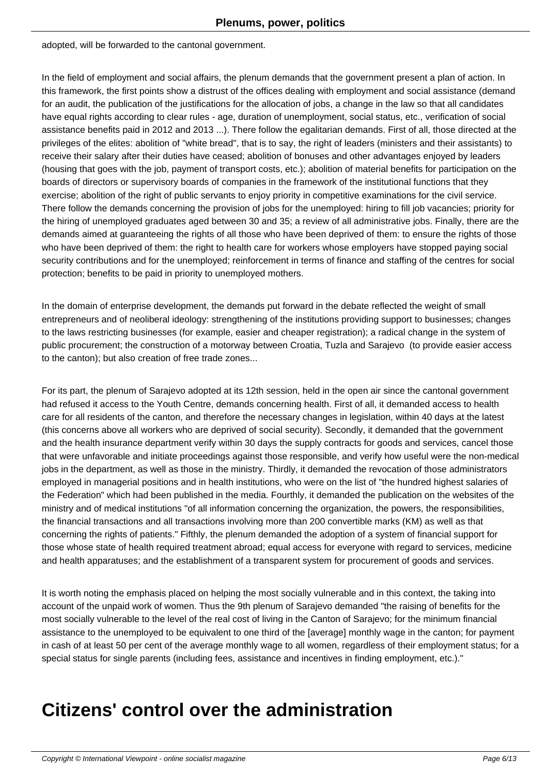adopted, will be forwarded to the cantonal government.

In the field of employment and social affairs, the plenum demands that the government present a plan of action. In this framework, the first points show a distrust of the offices dealing with employment and social assistance (demand for an audit, the publication of the justifications for the allocation of jobs, a change in the law so that all candidates have equal rights according to clear rules - age, duration of unemployment, social status, etc., verification of social assistance benefits paid in 2012 and 2013 ...). There follow the egalitarian demands. First of all, those directed at the privileges of the elites: abolition of "white bread", that is to say, the right of leaders (ministers and their assistants) to receive their salary after their duties have ceased; abolition of bonuses and other advantages enjoyed by leaders (housing that goes with the job, payment of transport costs, etc.); abolition of material benefits for participation on the boards of directors or supervisory boards of companies in the framework of the institutional functions that they exercise; abolition of the right of public servants to enjoy priority in competitive examinations for the civil service. There follow the demands concerning the provision of jobs for the unemployed: hiring to fill job vacancies; priority for the hiring of unemployed graduates aged between 30 and 35; a review of all administrative jobs. Finally, there are the demands aimed at guaranteeing the rights of all those who have been deprived of them: to ensure the rights of those who have been deprived of them: the right to health care for workers whose employers have stopped paying social security contributions and for the unemployed; reinforcement in terms of finance and staffing of the centres for social protection; benefits to be paid in priority to unemployed mothers.

In the domain of enterprise development, the demands put forward in the debate reflected the weight of small entrepreneurs and of neoliberal ideology: strengthening of the institutions providing support to businesses; changes to the laws restricting businesses (for example, easier and cheaper registration); a radical change in the system of public procurement; the construction of a motorway between Croatia, Tuzla and Sarajevo (to provide easier access to the canton); but also creation of free trade zones...

For its part, the plenum of Sarajevo adopted at its 12th session, held in the open air since the cantonal government had refused it access to the Youth Centre, demands concerning health. First of all, it demanded access to health care for all residents of the canton, and therefore the necessary changes in legislation, within 40 days at the latest (this concerns above all workers who are deprived of social security). Secondly, it demanded that the government and the health insurance department verify within 30 days the supply contracts for goods and services, cancel those that were unfavorable and initiate proceedings against those responsible, and verify how useful were the non-medical jobs in the department, as well as those in the ministry. Thirdly, it demanded the revocation of those administrators employed in managerial positions and in health institutions, who were on the list of "the hundred highest salaries of the Federation" which had been published in the media. Fourthly, it demanded the publication on the websites of the ministry and of medical institutions "of all information concerning the organization, the powers, the responsibilities, the financial transactions and all transactions involving more than 200 convertible marks (KM) as well as that concerning the rights of patients." Fifthly, the plenum demanded the adoption of a system of financial support for those whose state of health required treatment abroad; equal access for everyone with regard to services, medicine and health apparatuses; and the establishment of a transparent system for procurement of goods and services.

It is worth noting the emphasis placed on helping the most socially vulnerable and in this context, the taking into account of the unpaid work of women. Thus the 9th plenum of Sarajevo demanded "the raising of benefits for the most socially vulnerable to the level of the real cost of living in the Canton of Sarajevo; for the minimum financial assistance to the unemployed to be equivalent to one third of the [average] monthly wage in the canton; for payment in cash of at least 50 per cent of the average monthly wage to all women, regardless of their employment status; for a special status for single parents (including fees, assistance and incentives in finding employment, etc.)."

# **Citizens' control over the administration**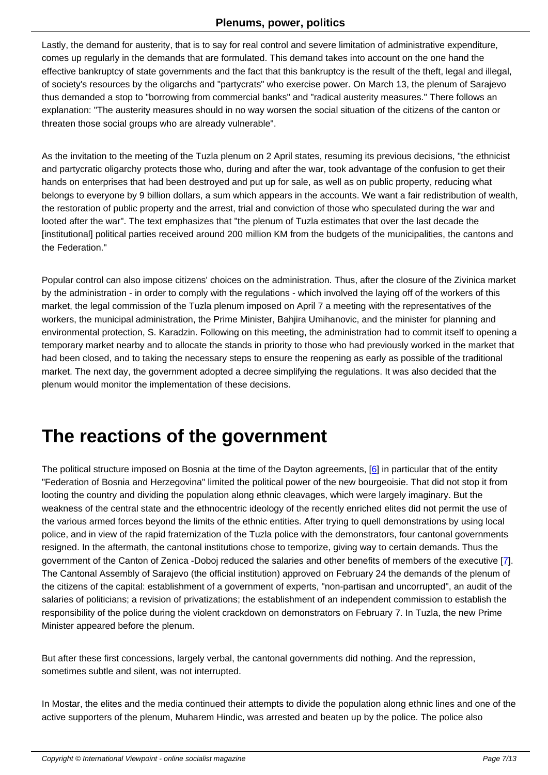Lastly, the demand for austerity, that is to say for real control and severe limitation of administrative expenditure, comes up regularly in the demands that are formulated. This demand takes into account on the one hand the effective bankruptcy of state governments and the fact that this bankruptcy is the result of the theft, legal and illegal, of society's resources by the oligarchs and "partycrats" who exercise power. On March 13, the plenum of Sarajevo thus demanded a stop to "borrowing from commercial banks" and "radical austerity measures." There follows an explanation: "The austerity measures should in no way worsen the social situation of the citizens of the canton or threaten those social groups who are already vulnerable".

As the invitation to the meeting of the Tuzla plenum on 2 April states, resuming its previous decisions, "the ethnicist and partycratic oligarchy protects those who, during and after the war, took advantage of the confusion to get their hands on enterprises that had been destroyed and put up for sale, as well as on public property, reducing what belongs to everyone by 9 billion dollars, a sum which appears in the accounts. We want a fair redistribution of wealth, the restoration of public property and the arrest, trial and conviction of those who speculated during the war and looted after the war". The text emphasizes that "the plenum of Tuzla estimates that over the last decade the [institutional] political parties received around 200 million KM from the budgets of the municipalities, the cantons and the Federation."

Popular control can also impose citizens' choices on the administration. Thus, after the closure of the Zivinica market by the administration - in order to comply with the regulations - which involved the laying off of the workers of this market, the legal commission of the Tuzla plenum imposed on April 7 a meeting with the representatives of the workers, the municipal administration, the Prime Minister, Bahjira Umihanovic, and the minister for planning and environmental protection, S. Karadzin. Following on this meeting, the administration had to commit itself to opening a temporary market nearby and to allocate the stands in priority to those who had previously worked in the market that had been closed, and to taking the necessary steps to ensure the reopening as early as possible of the traditional market. The next day, the government adopted a decree simplifying the regulations. It was also decided that the plenum would monitor the implementation of these decisions.

## **The reactions of the government**

The political structure imposed on Bosnia at the time of the Dayton agreements, [6] in particular that of the entity "Federation of Bosnia and Herzegovina" limited the political power of the new bourgeoisie. That did not stop it from looting the country and dividing the population along ethnic cleavages, which were largely imaginary. But the weakness of the central state and the ethnocentric ideology of the recently enriched elites did not permit the use of the various armed forces beyond the limits of the ethnic entities. After trying to qu[e](#nb6)ll demonstrations by using local police, and in view of the rapid fraternization of the Tuzla police with the demonstrators, four cantonal governments resigned. In the aftermath, the cantonal institutions chose to temporize, giving way to certain demands. Thus the government of the Canton of Zenica -Doboj reduced the salaries and other benefits of members of the executive [7]. The Cantonal Assembly of Sarajevo (the official institution) approved on February 24 the demands of the plenum of the citizens of the capital: establishment of a government of experts, "non-partisan and uncorrupted", an audit of the salaries of politicians; a revision of privatizations; the establishment of an independent commission to establish th[e](#nb7) responsibility of the police during the violent crackdown on demonstrators on February 7. In Tuzla, the new Prime Minister appeared before the plenum.

But after these first concessions, largely verbal, the cantonal governments did nothing. And the repression, sometimes subtle and silent, was not interrupted.

In Mostar, the elites and the media continued their attempts to divide the population along ethnic lines and one of the active supporters of the plenum, Muharem Hindic, was arrested and beaten up by the police. The police also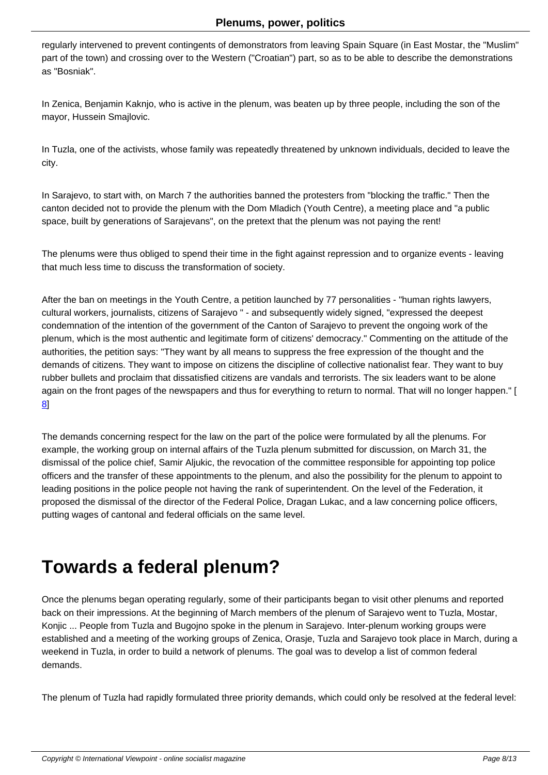regularly intervened to prevent contingents of demonstrators from leaving Spain Square (in East Mostar, the "Muslim" part of the town) and crossing over to the Western ("Croatian") part, so as to be able to describe the demonstrations as "Bosniak".

In Zenica, Benjamin Kaknjo, who is active in the plenum, was beaten up by three people, including the son of the mayor, Hussein Smajlovic.

In Tuzla, one of the activists, whose family was repeatedly threatened by unknown individuals, decided to leave the city.

In Sarajevo, to start with, on March 7 the authorities banned the protesters from "blocking the traffic." Then the canton decided not to provide the plenum with the Dom Mladich (Youth Centre), a meeting place and "a public space, built by generations of Sarajevans", on the pretext that the plenum was not paying the rent!

The plenums were thus obliged to spend their time in the fight against repression and to organize events - leaving that much less time to discuss the transformation of society.

After the ban on meetings in the Youth Centre, a petition launched by 77 personalities - "human rights lawyers, cultural workers, journalists, citizens of Sarajevo " - and subsequently widely signed, "expressed the deepest condemnation of the intention of the government of the Canton of Sarajevo to prevent the ongoing work of the plenum, which is the most authentic and legitimate form of citizens' democracy." Commenting on the attitude of the authorities, the petition says: "They want by all means to suppress the free expression of the thought and the demands of citizens. They want to impose on citizens the discipline of collective nationalist fear. They want to buy rubber bullets and proclaim that dissatisfied citizens are vandals and terrorists. The six leaders want to be alone again on the front pages of the newspapers and thus for everything to return to normal. That will no longer happen." [ 8]

The demands concerning respect for the law on the part of the police were formulated by all the plenums. For [ex](#nb8)ample, the working group on internal affairs of the Tuzla plenum submitted for discussion, on March 31, the dismissal of the police chief, Samir Aljukic, the revocation of the committee responsible for appointing top police officers and the transfer of these appointments to the plenum, and also the possibility for the plenum to appoint to leading positions in the police people not having the rank of superintendent. On the level of the Federation, it proposed the dismissal of the director of the Federal Police, Dragan Lukac, and a law concerning police officers, putting wages of cantonal and federal officials on the same level.

# **Towards a federal plenum?**

Once the plenums began operating regularly, some of their participants began to visit other plenums and reported back on their impressions. At the beginning of March members of the plenum of Sarajevo went to Tuzla, Mostar, Konjic ... People from Tuzla and Bugojno spoke in the plenum in Sarajevo. Inter-plenum working groups were established and a meeting of the working groups of Zenica, Orasje, Tuzla and Sarajevo took place in March, during a weekend in Tuzla, in order to build a network of plenums. The goal was to develop a list of common federal demands.

The plenum of Tuzla had rapidly formulated three priority demands, which could only be resolved at the federal level: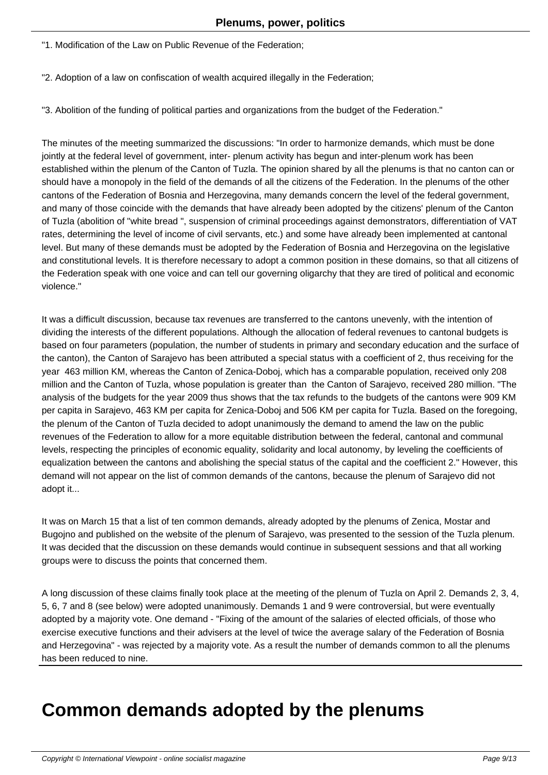"1. Modification of the Law on Public Revenue of the Federation;

"2. Adoption of a law on confiscation of wealth acquired illegally in the Federation;

"3. Abolition of the funding of political parties and organizations from the budget of the Federation."

The minutes of the meeting summarized the discussions: "In order to harmonize demands, which must be done jointly at the federal level of government, inter- plenum activity has begun and inter-plenum work has been established within the plenum of the Canton of Tuzla. The opinion shared by all the plenums is that no canton can or should have a monopoly in the field of the demands of all the citizens of the Federation. In the plenums of the other cantons of the Federation of Bosnia and Herzegovina, many demands concern the level of the federal government, and many of those coincide with the demands that have already been adopted by the citizens' plenum of the Canton of Tuzla (abolition of "white bread ", suspension of criminal proceedings against demonstrators, differentiation of VAT rates, determining the level of income of civil servants, etc.) and some have already been implemented at cantonal level. But many of these demands must be adopted by the Federation of Bosnia and Herzegovina on the legislative and constitutional levels. It is therefore necessary to adopt a common position in these domains, so that all citizens of the Federation speak with one voice and can tell our governing oligarchy that they are tired of political and economic violence."

It was a difficult discussion, because tax revenues are transferred to the cantons unevenly, with the intention of dividing the interests of the different populations. Although the allocation of federal revenues to cantonal budgets is based on four parameters (population, the number of students in primary and secondary education and the surface of the canton), the Canton of Sarajevo has been attributed a special status with a coefficient of 2, thus receiving for the year 463 million KM, whereas the Canton of Zenica-Doboj, which has a comparable population, received only 208 million and the Canton of Tuzla, whose population is greater than the Canton of Sarajevo, received 280 million. "The analysis of the budgets for the year 2009 thus shows that the tax refunds to the budgets of the cantons were 909 KM per capita in Sarajevo, 463 KM per capita for Zenica-Doboj and 506 KM per capita for Tuzla. Based on the foregoing, the plenum of the Canton of Tuzla decided to adopt unanimously the demand to amend the law on the public revenues of the Federation to allow for a more equitable distribution between the federal, cantonal and communal levels, respecting the principles of economic equality, solidarity and local autonomy, by leveling the coefficients of equalization between the cantons and abolishing the special status of the capital and the coefficient 2." However, this demand will not appear on the list of common demands of the cantons, because the plenum of Sarajevo did not adopt it...

It was on March 15 that a list of ten common demands, already adopted by the plenums of Zenica, Mostar and Bugojno and published on the website of the plenum of Sarajevo, was presented to the session of the Tuzla plenum. It was decided that the discussion on these demands would continue in subsequent sessions and that all working groups were to discuss the points that concerned them.

A long discussion of these claims finally took place at the meeting of the plenum of Tuzla on April 2. Demands 2, 3, 4, 5, 6, 7 and 8 (see below) were adopted unanimously. Demands 1 and 9 were controversial, but were eventually adopted by a majority vote. One demand - "Fixing of the amount of the salaries of elected officials, of those who exercise executive functions and their advisers at the level of twice the average salary of the Federation of Bosnia and Herzegovina" - was rejected by a majority vote. As a result the number of demands common to all the plenums has been reduced to nine.

## **Common demands adopted by the plenums**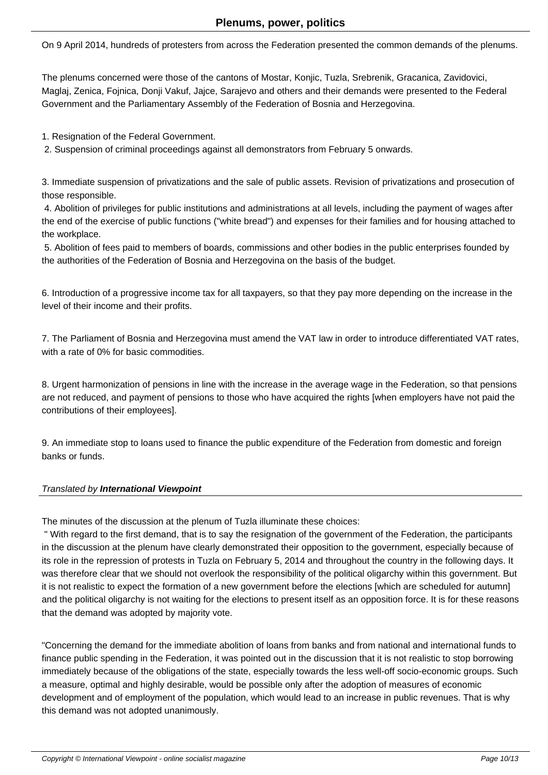On 9 April 2014, hundreds of protesters from across the Federation presented the common demands of the plenums.

The plenums concerned were those of the cantons of Mostar, Konjic, Tuzla, Srebrenik, Gracanica, Zavidovici, Maglaj, Zenica, Fojnica, Donji Vakuf, Jajce, Sarajevo and others and their demands were presented to the Federal Government and the Parliamentary Assembly of the Federation of Bosnia and Herzegovina.

1. Resignation of the Federal Government.

2. Suspension of criminal proceedings against all demonstrators from February 5 onwards.

3. Immediate suspension of privatizations and the sale of public assets. Revision of privatizations and prosecution of those responsible.

 4. Abolition of privileges for public institutions and administrations at all levels, including the payment of wages after the end of the exercise of public functions ("white bread") and expenses for their families and for housing attached to the workplace.

 5. Abolition of fees paid to members of boards, commissions and other bodies in the public enterprises founded by the authorities of the Federation of Bosnia and Herzegovina on the basis of the budget.

6. Introduction of a progressive income tax for all taxpayers, so that they pay more depending on the increase in the level of their income and their profits.

7. The Parliament of Bosnia and Herzegovina must amend the VAT law in order to introduce differentiated VAT rates, with a rate of 0% for basic commodities.

8. Urgent harmonization of pensions in line with the increase in the average wage in the Federation, so that pensions are not reduced, and payment of pensions to those who have acquired the rights [when employers have not paid the contributions of their employees].

9. An immediate stop to loans used to finance the public expenditure of the Federation from domestic and foreign banks or funds.

#### Translated by **International Viewpoint**

The minutes of the discussion at the plenum of Tuzla illuminate these choices:

 " With regard to the first demand, that is to say the resignation of the government of the Federation, the participants in the discussion at the plenum have clearly demonstrated their opposition to the government, especially because of its role in the repression of protests in Tuzla on February 5, 2014 and throughout the country in the following days. It was therefore clear that we should not overlook the responsibility of the political oligarchy within this government. But it is not realistic to expect the formation of a new government before the elections [which are scheduled for autumn] and the political oligarchy is not waiting for the elections to present itself as an opposition force. It is for these reasons that the demand was adopted by majority vote.

"Concerning the demand for the immediate abolition of loans from banks and from national and international funds to finance public spending in the Federation, it was pointed out in the discussion that it is not realistic to stop borrowing immediately because of the obligations of the state, especially towards the less well-off socio-economic groups. Such a measure, optimal and highly desirable, would be possible only after the adoption of measures of economic development and of employment of the population, which would lead to an increase in public revenues. That is why this demand was not adopted unanimously.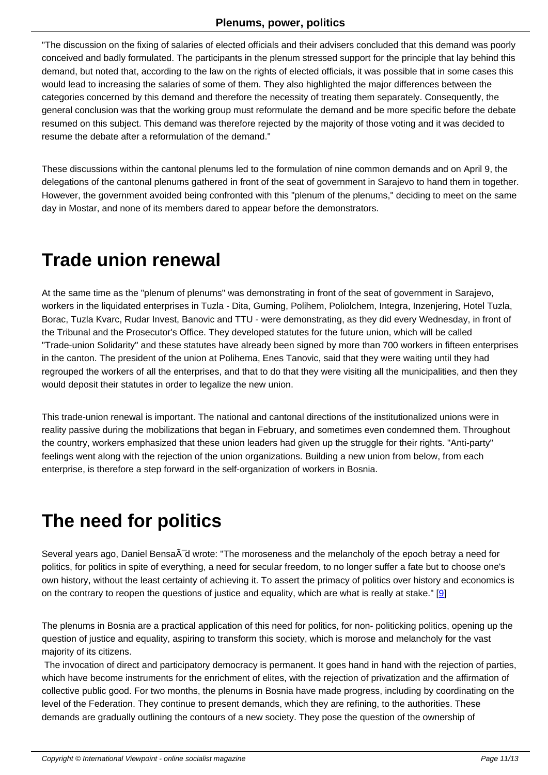"The discussion on the fixing of salaries of elected officials and their advisers concluded that this demand was poorly conceived and badly formulated. The participants in the plenum stressed support for the principle that lay behind this demand, but noted that, according to the law on the rights of elected officials, it was possible that in some cases this would lead to increasing the salaries of some of them. They also highlighted the major differences between the categories concerned by this demand and therefore the necessity of treating them separately. Consequently, the general conclusion was that the working group must reformulate the demand and be more specific before the debate resumed on this subject. This demand was therefore rejected by the majority of those voting and it was decided to resume the debate after a reformulation of the demand."

These discussions within the cantonal plenums led to the formulation of nine common demands and on April 9, the delegations of the cantonal plenums gathered in front of the seat of government in Sarajevo to hand them in together. However, the government avoided being confronted with this "plenum of the plenums," deciding to meet on the same day in Mostar, and none of its members dared to appear before the demonstrators.

# **Trade union renewal**

At the same time as the "plenum of plenums" was demonstrating in front of the seat of government in Sarajevo, workers in the liquidated enterprises in Tuzla - Dita, Guming, Polihem, Poliolchem, Integra, Inzenjering, Hotel Tuzla, Borac, Tuzla Kvarc, Rudar Invest, Banovic and TTU - were demonstrating, as they did every Wednesday, in front of the Tribunal and the Prosecutor's Office. They developed statutes for the future union, which will be called "Trade-union Solidarity" and these statutes have already been signed by more than 700 workers in fifteen enterprises in the canton. The president of the union at Polihema, Enes Tanovic, said that they were waiting until they had regrouped the workers of all the enterprises, and that to do that they were visiting all the municipalities, and then they would deposit their statutes in order to legalize the new union.

This trade-union renewal is important. The national and cantonal directions of the institutionalized unions were in reality passive during the mobilizations that began in February, and sometimes even condemned them. Throughout the country, workers emphasized that these union leaders had given up the struggle for their rights. "Anti-party" feelings went along with the rejection of the union organizations. Building a new union from below, from each enterprise, is therefore a step forward in the self-organization of workers in Bosnia.

## **The need for politics**

Several years ago, Daniel Bensa $\tilde{A}$ d wrote: "The moroseness and the melancholy of the epoch betray a need for politics, for politics in spite of everything, a need for secular freedom, to no longer suffer a fate but to choose one's own history, without the least certainty of achieving it. To assert the primacy of politics over history and economics is on the contrary to reopen the questions of justice and equality, which are what is really at stake."  $[9]$ 

The plenums in Bosnia are a practical application of this need for politics, for non- politicking politics, opening up the question of justice and equality, aspiring to transform this society, which is morose and melanchol[y](#nb9) for the vast majority of its citizens.

 The invocation of direct and participatory democracy is permanent. It goes hand in hand with the rejection of parties, which have become instruments for the enrichment of elites, with the rejection of privatization and the affirmation of collective public good. For two months, the plenums in Bosnia have made progress, including by coordinating on the level of the Federation. They continue to present demands, which they are refining, to the authorities. These demands are gradually outlining the contours of a new society. They pose the question of the ownership of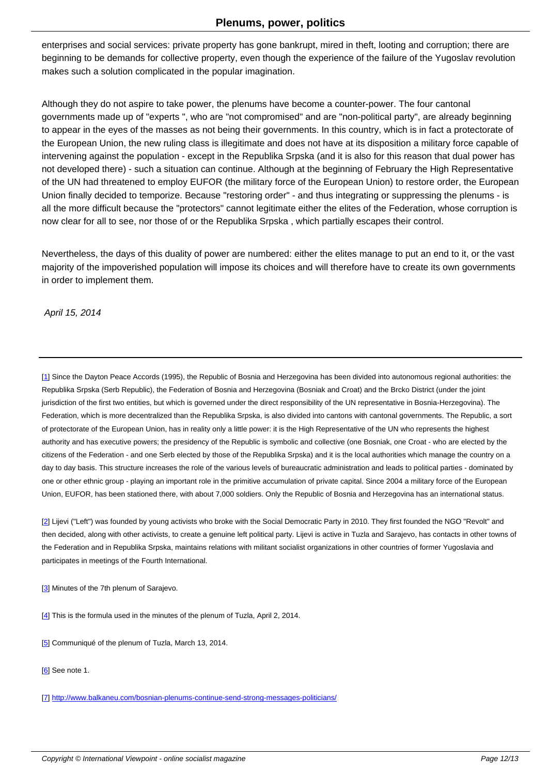enterprises and social services: private property has gone bankrupt, mired in theft, looting and corruption; there are beginning to be demands for collective property, even though the experience of the failure of the Yugoslav revolution makes such a solution complicated in the popular imagination.

Although they do not aspire to take power, the plenums have become a counter-power. The four cantonal governments made up of "experts ", who are "not compromised" and are "non-political party", are already beginning to appear in the eyes of the masses as not being their governments. In this country, which is in fact a protectorate of the European Union, the new ruling class is illegitimate and does not have at its disposition a military force capable of intervening against the population - except in the Republika Srpska (and it is also for this reason that dual power has not developed there) - such a situation can continue. Although at the beginning of February the High Representative of the UN had threatened to employ EUFOR (the military force of the European Union) to restore order, the European Union finally decided to temporize. Because "restoring order" - and thus integrating or suppressing the plenums - is all the more difficult because the "protectors" cannot legitimate either the elites of the Federation, whose corruption is now clear for all to see, nor those of or the Republika Srpska , which partially escapes their control.

Nevertheless, the days of this duality of power are numbered: either the elites manage to put an end to it, or the vast majority of the impoverished population will impose its choices and will therefore have to create its own governments in order to implement them.

April 15, 2014

[1] Since the Dayton Peace Accords (1995), the Republic of Bosnia and Herzegovina has been divided into autonomous regional authorities: the Republika Srpska (Serb Republic), the Federation of Bosnia and Herzegovina (Bosniak and Croat) and the Brcko District (under the joint jurisdiction of the first two entities, but which is governed under the direct responsibility of the UN representative in Bosnia-Herzegovina). The Federation, which is more decentralized than the Republika Srpska, is also divided into cantons with cantonal governments. The Republic, a sort [of](#nh1) protectorate of the European Union, has in reality only a little power: it is the High Representative of the UN who represents the highest authority and has executive powers; the presidency of the Republic is symbolic and collective (one Bosniak, one Croat - who are elected by the citizens of the Federation - and one Serb elected by those of the Republika Srpska) and it is the local authorities which manage the country on a day to day basis. This structure increases the role of the various levels of bureaucratic administration and leads to political parties - dominated by one or other ethnic group - playing an important role in the primitive accumulation of private capital. Since 2004 a military force of the European Union, EUFOR, has been stationed there, with about 7,000 soldiers. Only the Republic of Bosnia and Herzegovina has an international status.

[2] Lijevi ("Left") was founded by young activists who broke with the Social Democratic Party in 2010. They first founded the NGO "Revolt" and then decided, along with other activists, to create a genuine left political party. Lijevi is active in Tuzla and Sarajevo, has contacts in other towns of the Federation and in Republika Srpska, maintains relations with militant socialist organizations in other countries of former Yugoslavia and [pa](#nh2)rticipates in meetings of the Fourth International.

[3] Minutes of the 7th plenum of Sarajevo.

[4] This is the formula used in the minutes of the plenum of Tuzla, April 2, 2014.

[5] Communiqué of the plenum of Tuzla, March 13, 2014.

[6] See note 1.

[7] http://www.balkaneu.com/bosnian-plenums-continue-send-strong-messages-politicians/